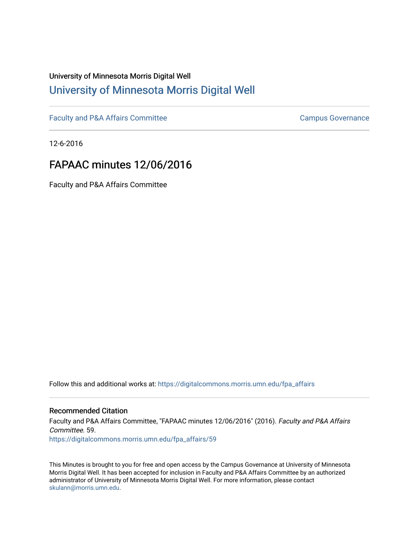# University of Minnesota Morris Digital Well [University of Minnesota Morris Digital Well](https://digitalcommons.morris.umn.edu/)

[Faculty and P&A Affairs Committee](https://digitalcommons.morris.umn.edu/fpa_affairs) [Campus Governance](https://digitalcommons.morris.umn.edu/campgov) Campus Governance

12-6-2016

# FAPAAC minutes 12/06/2016

Faculty and P&A Affairs Committee

Follow this and additional works at: [https://digitalcommons.morris.umn.edu/fpa\\_affairs](https://digitalcommons.morris.umn.edu/fpa_affairs?utm_source=digitalcommons.morris.umn.edu%2Ffpa_affairs%2F59&utm_medium=PDF&utm_campaign=PDFCoverPages)

## Recommended Citation

Faculty and P&A Affairs Committee, "FAPAAC minutes 12/06/2016" (2016). Faculty and P&A Affairs Committee. 59. [https://digitalcommons.morris.umn.edu/fpa\\_affairs/59](https://digitalcommons.morris.umn.edu/fpa_affairs/59?utm_source=digitalcommons.morris.umn.edu%2Ffpa_affairs%2F59&utm_medium=PDF&utm_campaign=PDFCoverPages) 

This Minutes is brought to you for free and open access by the Campus Governance at University of Minnesota Morris Digital Well. It has been accepted for inclusion in Faculty and P&A Affairs Committee by an authorized administrator of University of Minnesota Morris Digital Well. For more information, please contact [skulann@morris.umn.edu.](mailto:skulann@morris.umn.edu)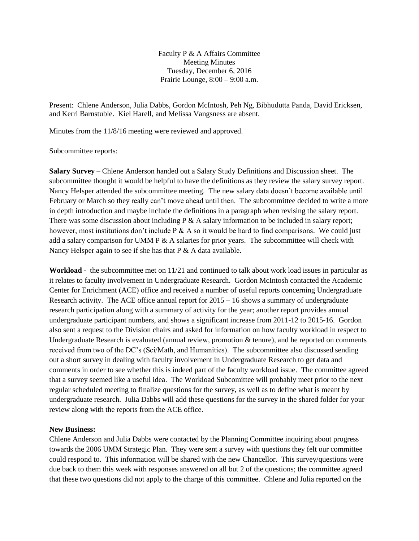Faculty P & A Affairs Committee Meeting Minutes Tuesday, December 6, 2016 Prairie Lounge, 8:00 – 9:00 a.m.

Present: Chlene Anderson, Julia Dabbs, Gordon McIntosh, Peh Ng, Bibhudutta Panda, David Ericksen, and Kerri Barnstuble. Kiel Harell, and Melissa Vangsness are absent.

Minutes from the 11/8/16 meeting were reviewed and approved.

#### Subcommittee reports:

**Salary Survey** – Chlene Anderson handed out a Salary Study Definitions and Discussion sheet. The subcommittee thought it would be helpful to have the definitions as they review the salary survey report. Nancy Helsper attended the subcommittee meeting. The new salary data doesn't become available until February or March so they really can't move ahead until then. The subcommittee decided to write a more in depth introduction and maybe include the definitions in a paragraph when revising the salary report. There was some discussion about including  $P \& A$  salary information to be included in salary report; however, most institutions don't include  $P \& A$  so it would be hard to find comparisons. We could just add a salary comparison for UMM P  $\&$  A salaries for prior years. The subcommittee will check with Nancy Helsper again to see if she has that P & A data available.

**Workload** - the subcommittee met on 11/21 and continued to talk about work load issues in particular as it relates to faculty involvement in Undergraduate Research. Gordon McIntosh contacted the Academic Center for Enrichment (ACE) office and received a number of useful reports concerning Undergraduate Research activity. The ACE office annual report for  $2015 - 16$  shows a summary of undergraduate research participation along with a summary of activity for the year; another report provides annual undergraduate participant numbers, and shows a significant increase from 2011-12 to 2015-16. Gordon also sent a request to the Division chairs and asked for information on how faculty workload in respect to Undergraduate Research is evaluated (annual review, promotion & tenure), and he reported on comments received from two of the DC's (Sci/Math, and Humanities). The subcommittee also discussed sending out a short survey in dealing with faculty involvement in Undergraduate Research to get data and comments in order to see whether this is indeed part of the faculty workload issue. The committee agreed that a survey seemed like a useful idea. The Workload Subcomittee will probably meet prior to the next regular scheduled meeting to finalize questions for the survey, as well as to define what is meant by undergraduate research. Julia Dabbs will add these questions for the survey in the shared folder for your review along with the reports from the ACE office.

### **New Business:**

Chlene Anderson and Julia Dabbs were contacted by the Planning Committee inquiring about progress towards the 2006 UMM Strategic Plan. They were sent a survey with questions they felt our committee could respond to. This information will be shared with the new Chancellor. This survey/questions were due back to them this week with responses answered on all but 2 of the questions; the committee agreed that these two questions did not apply to the charge of this committee. Chlene and Julia reported on the